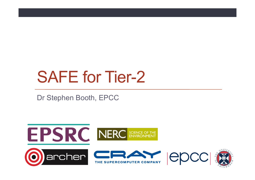# SAFE for Tier-2

Dr Stephen Booth, EPCC

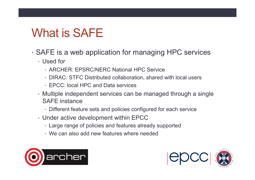## What is SAFE

- SAFE is a web application for managing HPC services
	- Used for
		- ARCHER: EPSRC/NERC National HPC Service
		- DIRAC: STFC Distributed collaboration, shared with local users
		- EPCC: local HPC and Data services
	- Multiple independent services can be managed through a single SAFE instance
		- Different feature sets and policies configured for each service
	- Under active development within EPCC
		- Large range of policies and features already supported
		- We can also add new features where needed



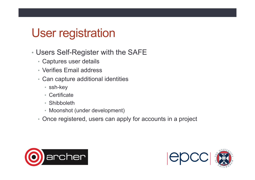#### User registration

- Users Self-Register with the SAFE
	- Captures user details
	- Verifies Email address
	- Can capture additional identities
		- ssh-key
		- Certificate
		- Shibboleth
		- Moonshot (under development)
	- Once registered, users can apply for accounts in a project



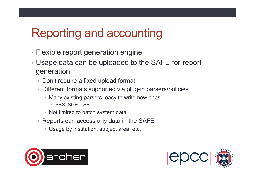#### Reporting and accounting

- Flexible report generation engine
- Usage data can be uploaded to the SAFE for report generation
	- Don't require a fixed upload format
	- Different formats supported via plug-in parsers/policies
		- Many existing parsers, easy to write new ones
			- PBS, SGE, LSF, …
		- Not limited to batch system data.
	- Reports can access any data in the SAFE
		- Usage by institution, subject area, etc.



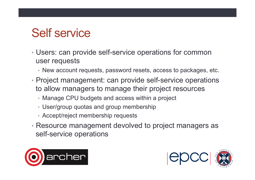## Self service

- Users: can provide self-service operations for common user requests
	- New account requests, password resets, access to packages, etc.
- Project management: can provide self-service operations to allow managers to manage their project resources
	- Manage CPU budgets and access within a project
	- User/group quotas and group membership
	- Accept/reject membership requests
- Resource management devolved to project managers as self-service operations



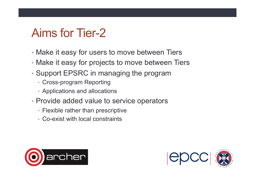#### Aims for Tier-2

- Make it easy for users to move between Tiers
- Make it easy for projects to move between Tiers
- Support EPSRC in managing the program
	- Cross-program Reporting
	- Applications and allocations
- Provide added value to service operators
	- Flexible rather than prescriptive
	- Co-exist with local constraints



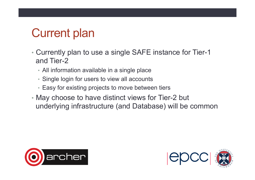## Current plan

- Currently plan to use a single SAFE instance for Tier-1 and Tier-2
	- All information available in a single place
	- Single login for users to view all accounts
	- Easy for existing projects to move between tiers
- May choose to have distinct views for Tier-2 but underlying infrastructure (and Database) will be common



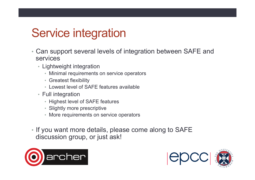### Service integration

- Can support several levels of integration between SAFE and services
	- Lightweight integration
		- Minimal requirements on service operators
		- Greatest flexibility
		- Lowest level of SAFE features available
	- Full integration
		- Highest level of SAFE features
		- Slightly more prescriptive
		- More requirements on service operators
- If you want more details, please come along to SAFE discussion group, or just ask!